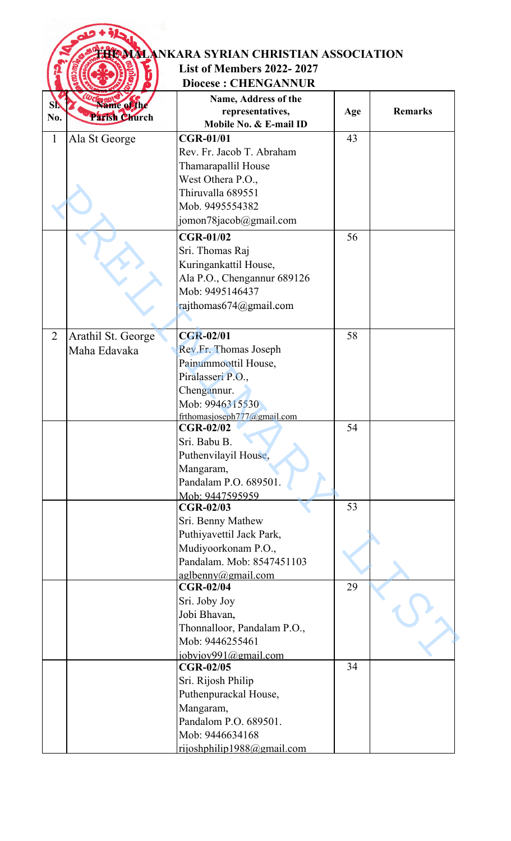|                |                    | <b>HOMALANKARA SYRIAN CHRISTIAN ASSOCIATION</b> |     |                |
|----------------|--------------------|-------------------------------------------------|-----|----------------|
|                |                    | <b>List of Members 2022-2027</b>                |     |                |
|                |                    | <b>Diocese: CHENGANNUR</b>                      |     |                |
|                |                    | Name, Address of the                            |     |                |
| SI.            | Name of the        | representatives,                                | Age | <b>Remarks</b> |
| No.            | Parish Church      | Mobile No. & E-mail ID                          |     |                |
| $\mathbf{1}$   | Ala St George      | <b>CGR-01/01</b>                                | 43  |                |
|                |                    | Rev. Fr. Jacob T. Abraham                       |     |                |
|                |                    | Thamarapallil House                             |     |                |
|                |                    | West Othera P.O.,                               |     |                |
|                |                    | Thiruvalla 689551                               |     |                |
|                |                    | Mob. 9495554382                                 |     |                |
|                |                    | jomon78jacob@gmail.com                          |     |                |
|                |                    | <b>CGR-01/02</b>                                | 56  |                |
|                |                    | Sri. Thomas Raj                                 |     |                |
|                |                    | Kuringankattil House,                           |     |                |
|                |                    | Ala P.O., Chengannur 689126                     |     |                |
|                |                    | Mob: 9495146437                                 |     |                |
|                |                    | rajthomas674@gmail.com                          |     |                |
|                |                    |                                                 |     |                |
| $\overline{2}$ | Arathil St. George | <b>CGR-02/01</b>                                | 58  |                |
|                | Maha Edavaka       | Rev.Fr. Thomas Joseph                           |     |                |
|                |                    | Painummoottil House,                            |     |                |
|                |                    | Piralasseri P.O.,                               |     |                |
|                |                    | Chengannur.                                     |     |                |
|                |                    | Mob: 9946315530                                 |     |                |
|                |                    | frthomasjoseph $777$ @gmail.com<br>$CGR-02/02$  | 54  |                |
|                |                    | Sri. Babu B.                                    |     |                |
|                |                    | Puthenvilayil House,                            |     |                |
|                |                    | Mangaram,                                       |     |                |
|                |                    | Pandalam P.O. 689501.                           |     |                |
|                |                    | Mob: 9447595959                                 |     |                |
|                |                    | <b>CGR-02/03</b>                                | 53  |                |
|                |                    | Sri. Benny Mathew                               |     |                |
|                |                    | Puthiyavettil Jack Park,                        |     |                |
|                |                    | Mudiyoorkonam P.O.,                             |     |                |
|                |                    | Pandalam. Mob: 8547451103                       |     |                |
|                |                    | aglbenny@gmail.com<br><b>CGR-02/04</b>          | 29  |                |
|                |                    | Sri. Joby Joy                                   |     |                |
|                |                    | Jobi Bhavan,                                    |     |                |
|                |                    | Thonnalloor, Pandalam P.O.,                     |     |                |
|                |                    | Mob: 9446255461                                 |     |                |
|                |                    | jobyjoy991@gmail.com                            |     |                |
|                |                    | <b>CGR-02/05</b>                                | 34  |                |
|                |                    | Sri. Rijosh Philip                              |     |                |
|                |                    | Puthenpurackal House,                           |     |                |
|                |                    | Mangaram,                                       |     |                |
|                |                    | Pandalom P.O. 689501.                           |     |                |
|                |                    | Mob: 9446634168                                 |     |                |
|                |                    | rijoshphilip1988@gmail.com                      |     |                |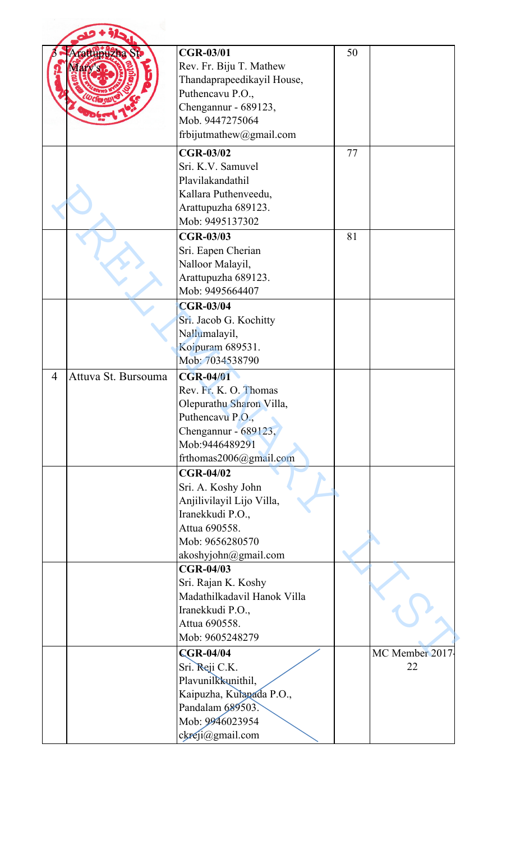|   | atupuzna            | <b>CGR-03/01</b><br>Rev. Fr. Biju T. Mathew | 50 |                |
|---|---------------------|---------------------------------------------|----|----------------|
|   |                     | Thandaprapeedikayil House,                  |    |                |
|   |                     | Puthencavu P.O.,                            |    |                |
|   |                     | Chengannur - 689123,                        |    |                |
|   |                     | Mob. 9447275064                             |    |                |
|   |                     | frbijutmathew@gmail.com                     |    |                |
|   |                     | <b>CGR-03/02</b>                            | 77 |                |
|   |                     | Sri. K.V. Samuvel                           |    |                |
|   |                     | Plavilakandathil                            |    |                |
|   |                     | Kallara Puthenveedu,                        |    |                |
|   |                     | Arattupuzha 689123.                         |    |                |
|   |                     | Mob: 9495137302                             |    |                |
|   |                     | <b>CGR-03/03</b>                            | 81 |                |
|   |                     | Sri. Eapen Cherian                          |    |                |
|   |                     | Nalloor Malayil,                            |    |                |
|   |                     | Arattupuzha 689123.<br>Mob: 9495664407      |    |                |
|   |                     | <b>CGR-03/04</b>                            |    |                |
|   |                     | Sri. Jacob G. Kochitty                      |    |                |
|   |                     | Nallumalayil,                               |    |                |
|   |                     | Koipuram 689531.                            |    |                |
|   |                     | Mob: 7034538790                             |    |                |
| 4 | Attuva St. Bursouma | <b>CGR-04/01</b>                            |    |                |
|   |                     | Rev. Fr. K. O. Thomas                       |    |                |
|   |                     | Olepurathu Sharon Villa,                    |    |                |
|   |                     | Puthencavu P.O.,                            |    |                |
|   |                     | Chengannur - 689123,                        |    |                |
|   |                     | Mob:9446489291                              |    |                |
|   |                     | frthomas2006@gmail.com                      |    |                |
|   |                     | <b>CGR-04/02</b>                            |    |                |
|   |                     | Sri. A. Koshy John                          |    |                |
|   |                     | Anjilivilayil Lijo Villa,                   |    |                |
|   |                     | Iranekkudi P.O.,                            |    |                |
|   |                     | Attua 690558.                               |    |                |
|   |                     | Mob: 9656280570                             |    |                |
|   |                     | akoshyjohn@gmail.com<br><b>CGR-04/03</b>    |    |                |
|   |                     | Sri. Rajan K. Koshy                         |    |                |
|   |                     | Madathilkadavil Hanok Villa                 |    |                |
|   |                     | Iranekkudi P.O.,                            |    |                |
|   |                     | Attua 690558.                               |    |                |
|   |                     | Mob: 9605248279                             |    |                |
|   |                     | <b>CGR-04/04</b>                            |    | MC Member 2017 |
|   |                     | Sri. Reji C.K.                              |    | 22             |
|   |                     | Plavunilkkunithil,                          |    |                |
|   |                     | Kaipuzha, Kulapada P.O.,                    |    |                |
|   |                     | Pandalam 689503.                            |    |                |
|   |                     | Mob: 9946023954                             |    |                |
|   |                     | ckreji@gmail.com                            |    |                |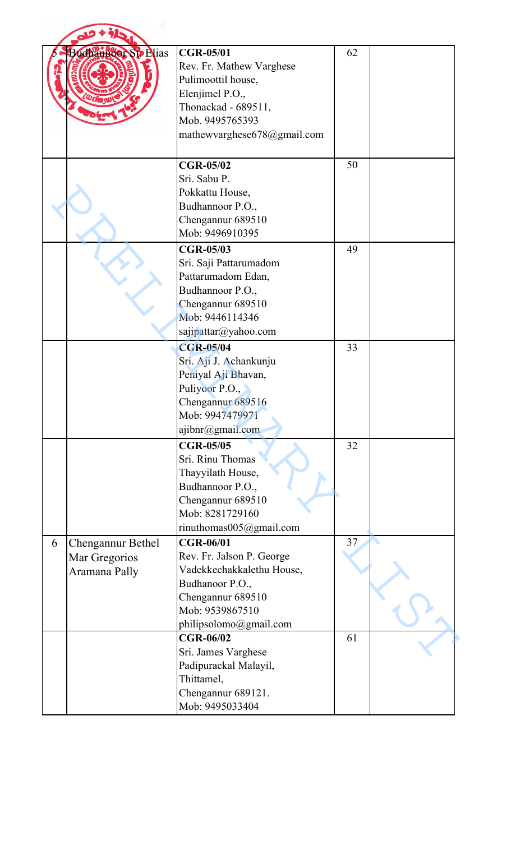|   | Buchannoor St. Plias                                       | <b>CGR-05/01</b><br>Rev. Fr. Mathew Varghese<br>Pulimoottil house,<br>Elenjimel P.O.,<br>Thonackad - 689511,<br>Mob. 9495765393<br>mathewvarghese678@gmail.com  | 62 |  |
|---|------------------------------------------------------------|-----------------------------------------------------------------------------------------------------------------------------------------------------------------|----|--|
|   |                                                            | <b>CGR-05/02</b><br>Sri. Sabu P.<br>Pokkattu House,<br>Budhannoor P.O.,<br>Chengannur 689510<br>Mob: 9496910395                                                 | 50 |  |
|   |                                                            | <b>CGR-05/03</b><br>Sri. Saji Pattarumadom<br>Pattarumadom Edan,<br>Budhannoor P.O.,<br>Chengannur 689510<br>Mob: 9446114346<br>sajipattar@yahoo.com            | 49 |  |
|   |                                                            | <b>CGR-05/04</b><br>Sri. Aji J. Achankunju<br>Peniyal Aji Bhavan,<br>Puliyoor P.O.,<br>Chengannur 689516<br>Mob: 9947479971<br>ajibnr@gmail.com                 | 33 |  |
|   |                                                            | <b>CGR-05/05</b><br>Sri. Rinu Thomas<br>Thayyilath House,<br>Budhannoor P.O.,<br>Chengannur 689510<br>Mob: 8281729160<br>rinuthomas005@gmail.com                | 32 |  |
| 6 | <b>Chengannur Bethel</b><br>Mar Gregorios<br>Aramana Pally | <b>CGR-06/01</b><br>Rev. Fr. Jalson P. George<br>Vadekkechakkalethu House,<br>Budhanoor P.O.,<br>Chengannur 689510<br>Mob: 9539867510<br>philipsolomo@gmail.com | 37 |  |
|   |                                                            | <b>CGR-06/02</b><br>Sri. James Varghese<br>Padipurackal Malayil,<br>Thittamel,<br>Chengannur 689121.<br>Mob: 9495033404                                         | 61 |  |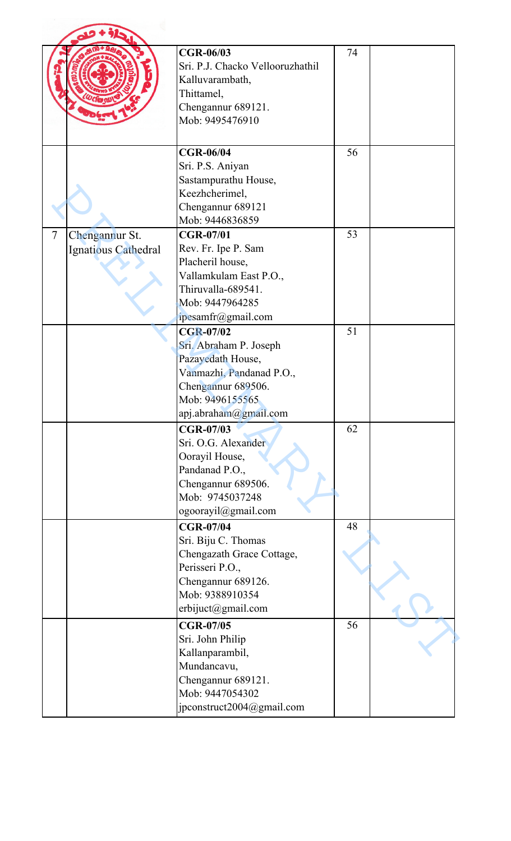|                          |                                       | <b>CGR-06/03</b><br>Sri. P.J. Chacko Vellooruzhathil<br>Kalluvarambath,<br>Thittamel,<br>Chengannur 689121.<br>Mob: 9495476910                                | 74 |  |
|--------------------------|---------------------------------------|---------------------------------------------------------------------------------------------------------------------------------------------------------------|----|--|
|                          |                                       | <b>CGR-06/04</b><br>Sri. P.S. Aniyan<br>Sastampurathu House,<br>Keezhcherimel,<br>Chengannur 689121<br>Mob: 9446836859                                        | 56 |  |
| $\overline{\mathcal{L}}$ | Chengannur St.<br>Ignatious Cathedral | <b>CGR-07/01</b><br>Rev. Fr. Ipe P. Sam<br>Placheril house,<br>Vallamkulam East P.O.,<br>Thiruvalla-689541.<br>Mob: 9447964285<br>ipesamfr@gmail.com          | 53 |  |
|                          |                                       | <b>CGR-07/02</b><br>Sri. Abraham P. Joseph<br>Pazayedath House,<br>Vanmazhi, Pandanad P.O.,<br>Chengannur 689506.<br>Mob: 9496155565<br>apj.abraham@gmail.com | 51 |  |
|                          |                                       | <b>CGR-07/03</b><br>Sri. O.G. Alexander<br>Oorayil House,<br>Pandanad P.O.,<br>Chengannur 689506.<br>Mob: 9745037248<br>ogoorayil@gmail.com                   | 62 |  |
|                          |                                       | <b>CGR-07/04</b><br>Sri. Biju C. Thomas<br>Chengazath Grace Cottage,<br>Perisseri P.O.,<br>Chengannur 689126.<br>Mob: 9388910354<br>erbijuct@gmail.com        | 48 |  |
|                          |                                       | <b>CGR-07/05</b><br>Sri. John Philip<br>Kallanparambil,<br>Mundancavu,<br>Chengannur 689121.<br>Mob: 9447054302<br>jpconstruct2004@gmail.com                  | 56 |  |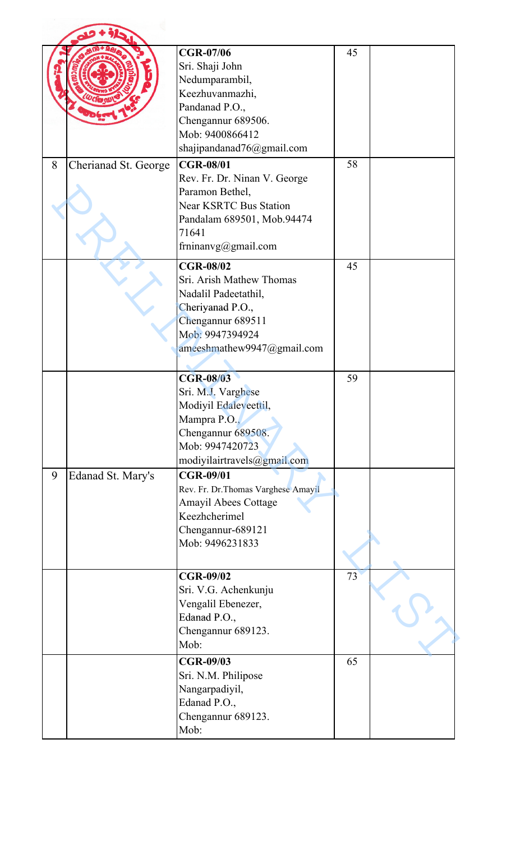|   |                      | <b>CGR-07/06</b><br>Sri. Shaji John<br>Nedumparambil,<br>Keezhuvanmazhi,<br>Pandanad P.O.,<br>Chengannur 689506.<br>Mob: 9400866412<br>shajipandanad76@gmail.com   | 45 |  |
|---|----------------------|--------------------------------------------------------------------------------------------------------------------------------------------------------------------|----|--|
| 8 | Cherianad St. George | <b>CGR-08/01</b><br>Rev. Fr. Dr. Ninan V. George<br>Paramon Bethel,<br><b>Near KSRTC Bus Station</b><br>Pandalam 689501, Mob.94474<br>71641<br>frninanvg@gmail.com | 58 |  |
|   |                      | <b>CGR-08/02</b><br>Sri. Arish Mathew Thomas<br>Nadalil Padeetathil,<br>Cheriyanad P.O.,<br>Chengannur 689511<br>Mob: 9947394924<br>ameeshmathew9947@gmail.com     | 45 |  |
|   |                      | <b>CGR-08/03</b><br>Sri. M.J. Varghese<br>Modiyil Edaleveettil,<br>Mampra P.O.,<br>Chengannur 689508.<br>Mob: 9947420723<br>modiyilairtravels@gmail.com            | 59 |  |
| 9 | Edanad St. Mary's    | <b>CGR-09/01</b><br>Rev. Fr. Dr. Thomas Varghese Amayil<br><b>Amayil Abees Cottage</b><br>Keezhcherimel<br>Chengannur-689121<br>Mob: 9496231833                    |    |  |
|   |                      | <b>CGR-09/02</b><br>Sri. V.G. Achenkunju<br>Vengalil Ebenezer,<br>Edanad P.O.,<br>Chengannur 689123.<br>Mob:                                                       | 73 |  |
|   |                      | <b>CGR-09/03</b><br>Sri. N.M. Philipose<br>Nangarpadiyil,<br>Edanad P.O.,<br>Chengannur 689123.<br>Mob:                                                            | 65 |  |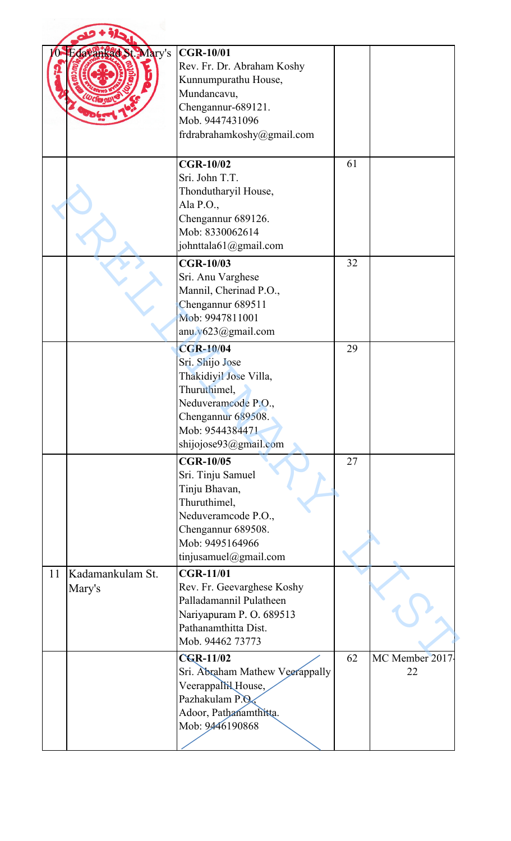|    | Edavankad St Mary's        | <b>CGR-10/01</b><br>Rev. Fr. Dr. Abraham Koshy<br>Kunnumpurathu House,<br>Mundancavu,<br>Chengannur-689121.<br>Mob. 9447431096<br>frdrabrahamkoshy@gmail.com           |    |                       |
|----|----------------------------|------------------------------------------------------------------------------------------------------------------------------------------------------------------------|----|-----------------------|
|    |                            | <b>CGR-10/02</b><br>Sri. John T.T.<br>Thondutharyil House,<br>Ala P.O.,<br>Chengannur 689126.<br>Mob: 8330062614<br>johnttala61@gmail.com                              | 61 |                       |
|    |                            | <b>CGR-10/03</b><br>Sri. Anu Varghese<br>Mannil, Cherinad P.O.,<br>Chengannur 689511<br>Mob: 9947811001<br>anu. $v623$ @gmail.com                                      | 32 |                       |
|    |                            | <b>CGR-10/04</b><br>Sri. Shijo Jose<br>Thakidiyil Jose Villa,<br>Thuruthimel,<br>Neduveramcode P.O.,<br>Chengannur 689508.<br>Mob: 9544384471<br>shijojose93@gmail.com | 29 |                       |
|    |                            | <b>CGR-10/05</b><br>Sri. Tinju Samuel<br>Tinju Bhavan,<br>Thuruthimel,<br>Neduveramcode P.O.,<br>Chengannur 689508.<br>Mob: 9495164966<br>tinjusamuel@gmail.com        | 27 |                       |
| 11 | Kadamankulam St.<br>Mary's | <b>CGR-11/01</b><br>Rev. Fr. Geevarghese Koshy<br>Palladamannil Pulatheen<br>Nariyapuram P.O. 689513<br>Pathanamthitta Dist.<br>Mob. 94462 73773                       |    |                       |
|    |                            | <b>CGR-11/02</b><br>Sri. Abraham Mathew Veerappally<br>Veerappallil House,<br>Pazhakulam P.O.<br>Adoor, Pathanamthitta.<br>Mob: 9446190868                             | 62 | MC Member 2017-<br>22 |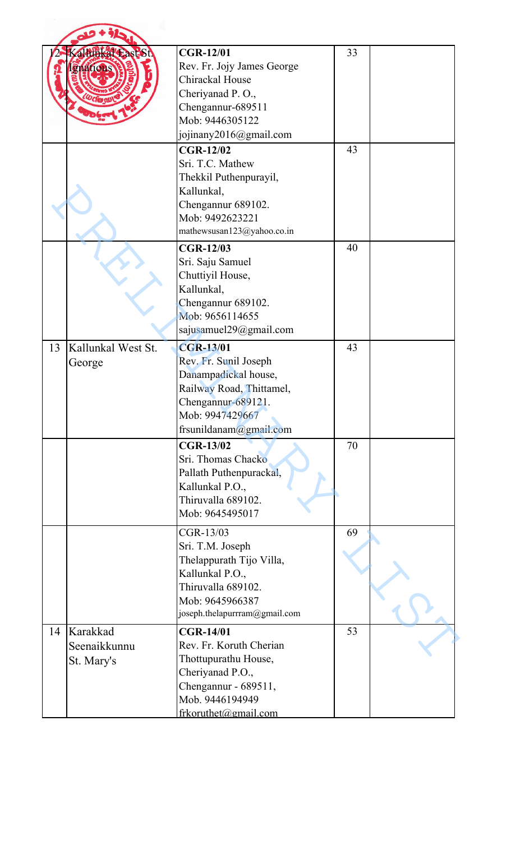|    | Kaltunkal East St.<br>gnatious         | <b>CGR-12/01</b><br>Rev. Fr. Jojy James George<br>Chirackal House<br>Cheriyanad P.O.,<br>Chengannur-689511<br>Mob: 9446305122<br>jojinany2016@gmail.com          | 33 |  |
|----|----------------------------------------|------------------------------------------------------------------------------------------------------------------------------------------------------------------|----|--|
|    |                                        | <b>CGR-12/02</b><br>Sri. T.C. Mathew<br>Thekkil Puthenpurayil,<br>Kallunkal,<br>Chengannur 689102.<br>Mob: 9492623221<br>mathewsusan123@yahoo.co.in              | 43 |  |
|    |                                        | <b>CGR-12/03</b><br>Sri. Saju Samuel<br>Chuttiyil House,<br>Kallunkal,<br>Chengannur 689102.<br>Mob: 9656114655<br>sajusamuel29@gmail.com                        | 40 |  |
| 13 | Kallunkal West St.<br>George           | <b>CGR-13/01</b><br>Rev. Fr. Sunil Joseph<br>Danampadickal house,<br>Railway Road, Thittamel,<br>Chengannur-689121.<br>Mob: 9947429667<br>frsunildanam@gmail.com | 43 |  |
|    |                                        | <b>CGR-13/02</b><br>Sri. Thomas Chacko<br>Pallath Puthenpurackal,<br>Kallunkal P.O.,<br>Thiruvalla 689102.<br>Mob: 9645495017                                    | 70 |  |
|    |                                        | CGR-13/03<br>Sri. T.M. Joseph<br>Thelappurath Tijo Villa,<br>Kallunkal P.O.,<br>Thiruvalla 689102.<br>Mob: 9645966387<br>joseph.thelapurrram@gmail.com           | 69 |  |
| 14 | Karakkad<br>Seenaikkunnu<br>St. Mary's | <b>CGR-14/01</b><br>Rev. Fr. Koruth Cherian<br>Thottupurathu House,<br>Cheriyanad P.O.,<br>Chengannur - 689511,<br>Mob. 9446194949<br>frkoruthet@gmail.com       | 53 |  |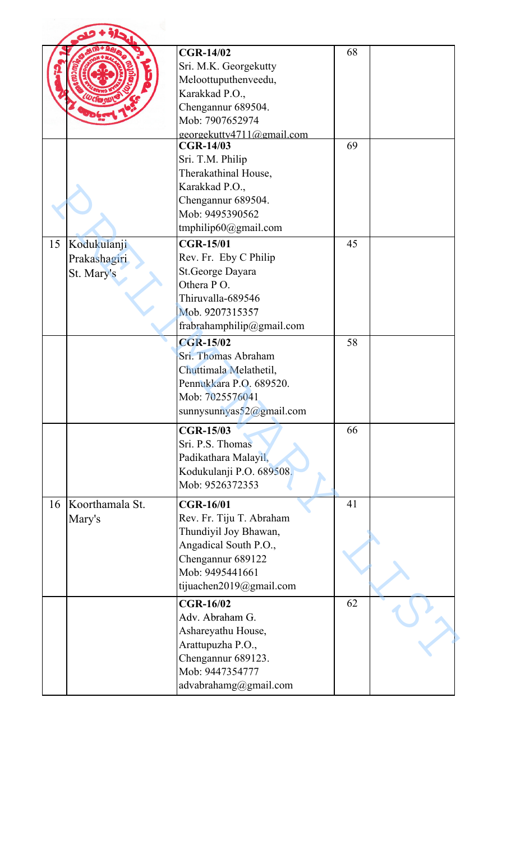|    |                                           | <b>CGR-14/02</b><br>Sri. M.K. Georgekutty<br>Meloottuputhenveedu,<br>Karakkad P.O.,<br>Chengannur 689504.<br>Mob: 7907652974<br>georgekutty4711@gmail.com         | 68 |  |
|----|-------------------------------------------|-------------------------------------------------------------------------------------------------------------------------------------------------------------------|----|--|
|    |                                           | <b>CGR-14/03</b><br>Sri. T.M. Philip<br>Therakathinal House,<br>Karakkad P.O.,<br>Chengannur 689504.<br>Mob: 9495390562<br>tmphilip $60$ @gmail.com               | 69 |  |
| 15 | Kodukulanji<br>Prakashagiri<br>St. Mary's | <b>CGR-15/01</b><br>Rev. Fr. Eby C Philip<br>St.George Dayara<br>Othera PO.<br>Thiruvalla-689546<br>Mob. 9207315357<br>frabrahamphilip@gmail.com                  | 45 |  |
|    |                                           | <b>CGR-15/02</b><br>Sri. Thomas Abraham<br>Chuttimala Melathetil,<br>Pennukkara P.O. 689520.<br>Mob: 7025576041<br>sunnysunnyas $52@$ gmail.com                   | 58 |  |
|    |                                           | <b>CGR-15/03</b><br>Sri. P.S. Thomas<br>Padikathara Malayil,<br>Kodukulanji P.O. 689508.<br>Mob: 9526372353                                                       | 66 |  |
| 16 | Koorthamala St.<br>Mary's                 | <b>CGR-16/01</b><br>Rev. Fr. Tiju T. Abraham<br>Thundiyil Joy Bhawan,<br>Angadical South P.O.,<br>Chengannur 689122<br>Mob: 9495441661<br>tijuachen2019@gmail.com | 41 |  |
|    |                                           | <b>CGR-16/02</b><br>Adv. Abraham G.<br>Ashareyathu House,<br>Arattupuzha P.O.,<br>Chengannur 689123.<br>Mob: 9447354777<br>advabrahamg@gmail.com                  | 62 |  |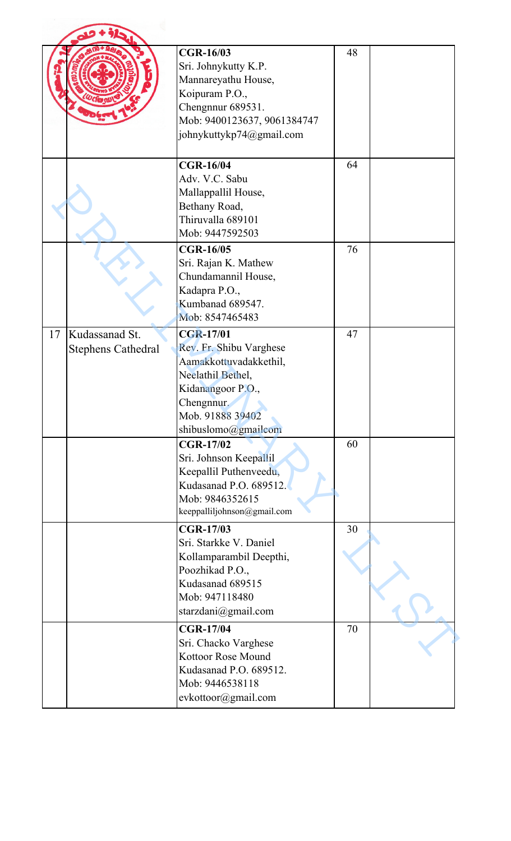|    |                                             | <b>CGR-16/03</b><br>Sri. Johnykutty K.P.<br>Mannareyathu House,<br>Koipuram P.O.,<br>Chengnnur 689531.<br>Mob: 9400123637, 9061384747<br>johnykuttykp74@gmail.com        | 48 |  |
|----|---------------------------------------------|--------------------------------------------------------------------------------------------------------------------------------------------------------------------------|----|--|
|    |                                             | <b>CGR-16/04</b><br>Adv. V.C. Sabu<br>Mallappallil House,<br>Bethany Road,<br>Thiruvalla 689101<br>Mob: 9447592503                                                       | 64 |  |
|    |                                             | <b>CGR-16/05</b><br>Sri. Rajan K. Mathew<br>Chundamannil House,<br>Kadapra P.O.,<br>Kumbanad 689547.<br>Mob: 8547465483                                                  | 76 |  |
| 17 | Kudassanad St.<br><b>Stephens Cathedral</b> | <b>CGR-17/01</b><br>Rev. Fr. Shibu Varghese<br>Aamakkottuvadakkethil,<br>Neelathil Bethel,<br>Kidanangoor P.O.,<br>Chengnnur.<br>Mob. 91888 39402<br>shibuslomo@gmailcom | 47 |  |
|    |                                             | <b>CGR-17/02</b><br>Sri. Johnson Keepallil<br>Keepallil Puthenveedu,<br>Kudasanad P.O. 689512.<br>Mob: 9846352615<br>keeppalliljohnson@gmail.com                         | 60 |  |
|    |                                             | <b>CGR-17/03</b><br>Sri. Starkke V. Daniel<br>Kollamparambil Deepthi,<br>Poozhikad P.O.,<br>Kudasanad 689515<br>Mob: 947118480<br>starzdani@gmail.com                    | 30 |  |
|    |                                             | <b>CGR-17/04</b><br>Sri. Chacko Varghese<br>Kottoor Rose Mound<br>Kudasanad P.O. 689512.<br>Mob: 9446538118<br>evkottoor@gmail.com                                       | 70 |  |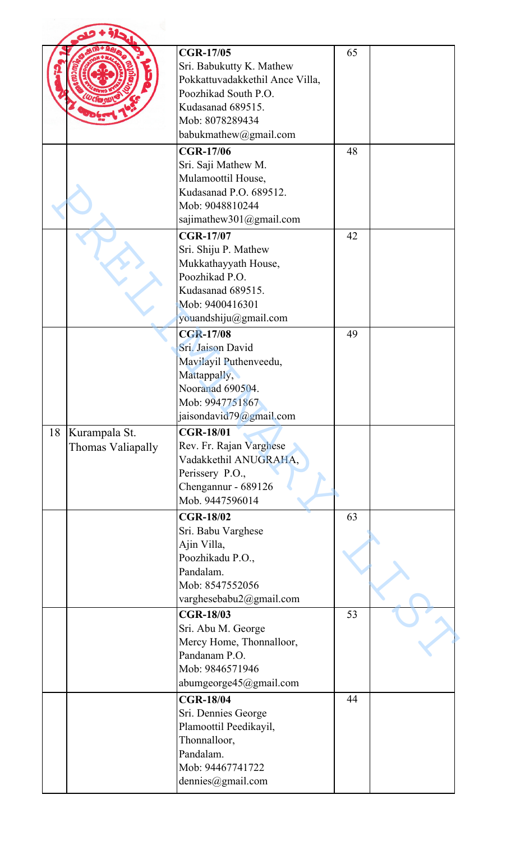|    |                                    | <b>CGR-17/05</b><br>Sri. Babukutty K. Mathew<br>Pokkattuvadakkethil Ance Villa,<br>Poozhikad South P.O.<br>Kudasanad 689515.<br>Mob: 8078289434<br>babukmathew@gmail.com | 65 |  |
|----|------------------------------------|--------------------------------------------------------------------------------------------------------------------------------------------------------------------------|----|--|
|    |                                    | <b>CGR-17/06</b><br>Sri. Saji Mathew M.<br>Mulamoottil House,<br>Kudasanad P.O. 689512.<br>Mob: 9048810244<br>sajimathew301@gmail.com                                    | 48 |  |
|    |                                    | <b>CGR-17/07</b><br>Sri. Shiju P. Mathew<br>Mukkathayyath House,<br>Poozhikad P.O.<br>Kudasanad 689515.<br>Mob: 9400416301<br>youandshiju@gmail.com                      | 42 |  |
|    |                                    | <b>CGR-17/08</b><br>Sri. Jaison David<br>Mavilayil Puthenveedu,<br>Mattappally,<br>Nooranad 690504.<br>Mob: 9947751867<br>jaisondavid79@gmail.com                        | 49 |  |
| 18 | Kurampala St.<br>Thomas Valiapally | <b>CGR-18/01</b><br>Rev. Fr. Rajan Varghese<br>Vadakkethil ANUGRAHA,<br>Perissery P.O.,<br>Chengannur - 689126<br>Mob. 9447596014                                        |    |  |
|    |                                    | <b>CGR-18/02</b><br>Sri. Babu Varghese<br>Ajin Villa,<br>Poozhikadu P.O.,<br>Pandalam.<br>Mob: 8547552056<br>varghesebabu2@gmail.com                                     | 63 |  |
|    |                                    | <b>CGR-18/03</b><br>Sri. Abu M. George<br>Mercy Home, Thonnalloor,<br>Pandanam P.O.<br>Mob: 9846571946<br>abumgeorge45@gmail.com                                         | 53 |  |
|    |                                    | <b>CGR-18/04</b><br>Sri. Dennies George<br>Plamoottil Peedikayil,<br>Thonnalloor,<br>Pandalam.<br>Mob: 94467741722<br>dennies@gmail.com                                  | 44 |  |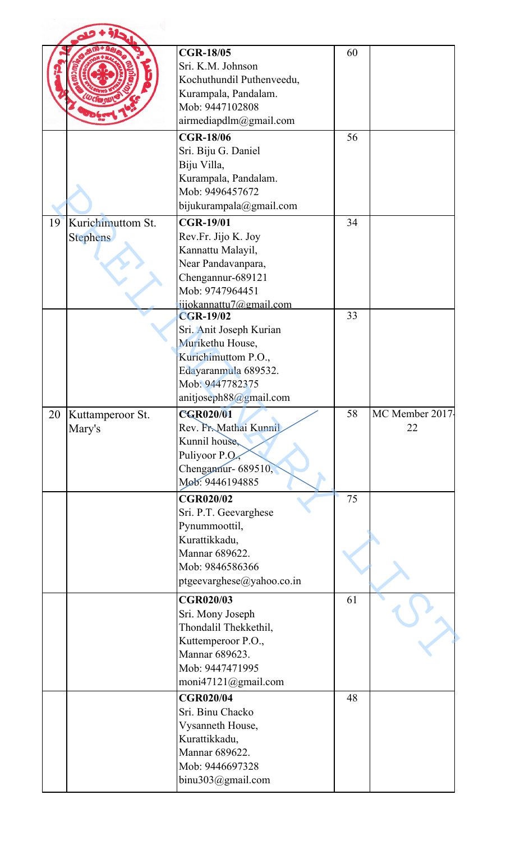|                         | <b>CGR-18/05</b>                          | 60 |                 |
|-------------------------|-------------------------------------------|----|-----------------|
|                         | Sri. K.M. Johnson                         |    |                 |
|                         | Kochuthundil Puthenveedu,                 |    |                 |
|                         | Kurampala, Pandalam.                      |    |                 |
|                         | Mob: 9447102808                           |    |                 |
|                         | airmediapdlm@gmail.com                    |    |                 |
|                         | <b>CGR-18/06</b>                          | 56 |                 |
|                         | Sri. Biju G. Daniel                       |    |                 |
|                         | Biju Villa,                               |    |                 |
|                         | Kurampala, Pandalam.                      |    |                 |
|                         | Mob: 9496457672                           |    |                 |
|                         | bijukurampala@gmail.com                   |    |                 |
| Kurichimuttom St.<br>19 | <b>CGR-19/01</b>                          | 34 |                 |
| Stephens                | Rev.Fr. Jijo K. Joy                       |    |                 |
|                         | Kannattu Malayil,                         |    |                 |
|                         | Near Pandavanpara,                        |    |                 |
|                         | Chengannur-689121                         |    |                 |
|                         | Mob: 9747964451                           |    |                 |
|                         | jijokannattu7@gmail.com                   |    |                 |
|                         | <b>CGR-19/02</b>                          | 33 |                 |
|                         | Sri. Anit Joseph Kurian                   |    |                 |
|                         | Murikethu House,                          |    |                 |
|                         | Kurichimuttom P.O.,                       |    |                 |
|                         | Edayaranmula 689532.                      |    |                 |
|                         | Mob: 9447782375                           |    |                 |
|                         | anitjoseph88@gmail.com                    |    |                 |
|                         |                                           |    |                 |
|                         |                                           |    |                 |
| Kuttamperoor St.        | CGR020/01                                 | 58 | MC Member 2017- |
| Mary's                  | Rev. Fr. Mathai Kunnil                    |    | 22              |
| 20                      | Kunnil house,                             |    |                 |
|                         | Puliyoor P.O.,                            |    |                 |
|                         | Chengamur- 689510,                        |    |                 |
|                         | Mob: 9446194885                           |    |                 |
|                         | <b>CGR020/02</b>                          | 75 |                 |
|                         | Sri. P.T. Geevarghese                     |    |                 |
|                         | Pynummoottil,                             |    |                 |
|                         | Kurattikkadu,                             |    |                 |
|                         | Mannar 689622.                            |    |                 |
|                         | Mob: 9846586366                           |    |                 |
|                         | ptgeevarghese@yahoo.co.in                 |    |                 |
|                         | <b>CGR020/03</b>                          | 61 |                 |
|                         |                                           |    |                 |
|                         | Sri. Mony Joseph<br>Thondalil Thekkethil, |    |                 |
|                         |                                           |    |                 |
|                         | Kuttemperoor P.O.,                        |    |                 |
|                         | Mannar 689623.<br>Mob: 9447471995         |    |                 |
|                         |                                           |    |                 |
|                         | moni47121@gmail.com                       |    |                 |
|                         | <b>CGR020/04</b>                          | 48 |                 |
|                         | Sri. Binu Chacko                          |    |                 |
|                         | Vysanneth House,                          |    |                 |
|                         | Kurattikkadu,                             |    |                 |
|                         | Mannar 689622.                            |    |                 |
|                         | Mob: 9446697328<br>binu303@gmail.com      |    |                 |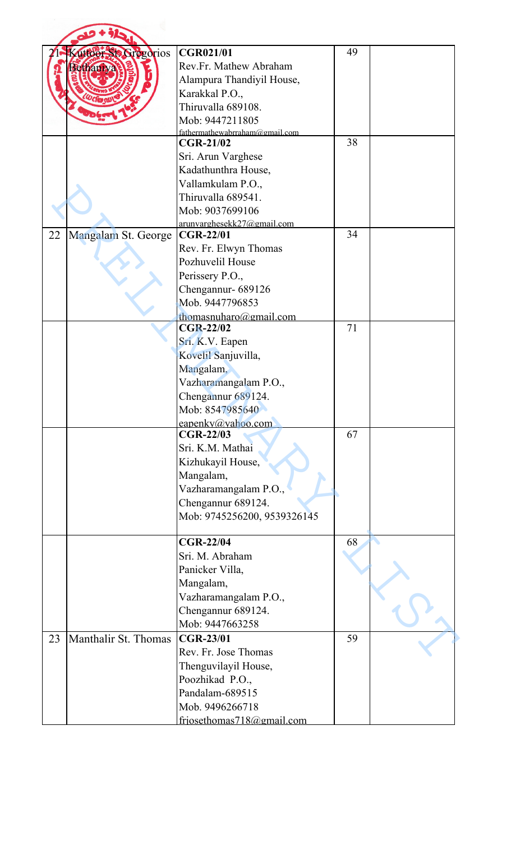|    | Kuttoer Sta Gregorios | <b>CGR021/01</b>               | 49 |  |
|----|-----------------------|--------------------------------|----|--|
|    | <b>Fethanry</b>       | Rev.Fr. Mathew Abraham         |    |  |
|    |                       | Alampura Thandiyil House,      |    |  |
|    |                       | Karakkal P.O.,                 |    |  |
|    |                       | Thiruvalla 689108.             |    |  |
|    |                       | Mob: 9447211805                |    |  |
|    |                       | fathermathewabrraham@gmail.com |    |  |
|    |                       | <b>CGR-21/02</b>               | 38 |  |
|    |                       | Sri. Arun Varghese             |    |  |
|    |                       | Kadathunthra House,            |    |  |
|    |                       | Vallamkulam P.O.,              |    |  |
|    |                       | Thiruvalla 689541.             |    |  |
|    |                       | Mob: 9037699106                |    |  |
|    |                       | arunvarghesekk27@gmail.com     |    |  |
| 22 | Mangalam St. George   | <b>CGR-22/01</b>               | 34 |  |
|    |                       | Rev. Fr. Elwyn Thomas          |    |  |
|    |                       | Pozhuvelil House               |    |  |
|    |                       | Perissery P.O.,                |    |  |
|    |                       | Chengannur- 689126             |    |  |
|    |                       | Mob. 9447796853                |    |  |
|    |                       | thomasnuharo@gmail.com         |    |  |
|    |                       | <b>CGR-22/02</b>               | 71 |  |
|    |                       | Sri. K.V. Eapen                |    |  |
|    |                       | Kovelil Sanjuvilla,            |    |  |
|    |                       | Mangalam,                      |    |  |
|    |                       | Vazharamangalam P.O.,          |    |  |
|    |                       | Chengannur 689124.             |    |  |
|    |                       | Mob: 8547985640                |    |  |
|    |                       | eapenky@yahoo.com              |    |  |
|    |                       | <b>CGR-22/03</b>               | 67 |  |
|    |                       | Sri. K.M. Mathai               |    |  |
|    |                       | Kizhukayil House,              |    |  |
|    |                       | Mangalam,                      |    |  |
|    |                       | Vazharamangalam P.O.,          |    |  |
|    |                       | Chengannur 689124.             |    |  |
|    |                       | Mob: 9745256200, 9539326145    |    |  |
|    |                       | <b>CGR-22/04</b>               | 68 |  |
|    |                       | Sri. M. Abraham                |    |  |
|    |                       | Panicker Villa,                |    |  |
|    |                       |                                |    |  |
|    |                       | Mangalam,                      |    |  |
|    |                       | Vazharamangalam P.O.,          |    |  |
|    |                       | Chengannur 689124.             |    |  |
|    |                       | Mob: 9447663258                |    |  |
| 23 | Manthalir St. Thomas  | <b>CGR-23/01</b>               | 59 |  |
|    |                       | Rev. Fr. Jose Thomas           |    |  |
|    |                       | Thenguvilayil House,           |    |  |
|    |                       | Poozhikad P.O.,                |    |  |
|    |                       | Pandalam-689515                |    |  |
|    |                       | Mob. 9496266718                |    |  |
|    |                       | friosethomas718@gmail.com      |    |  |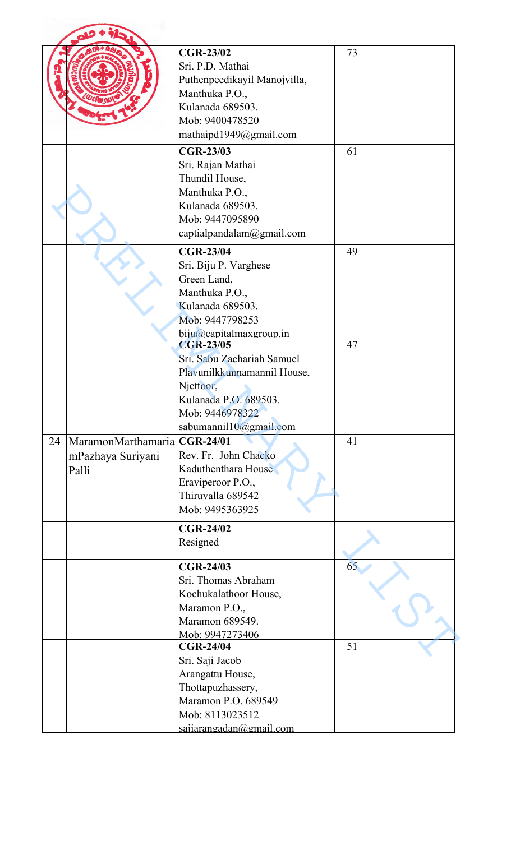|    |                                                            | <b>CGR-23/02</b><br>Sri. P.D. Mathai<br>Puthenpeedikayil Manojvilla,<br>Manthuka P.O.,<br>Kulanada 689503.<br>Mob: 9400478520<br>mathaipd1949@gmail.com          | 73 |  |
|----|------------------------------------------------------------|------------------------------------------------------------------------------------------------------------------------------------------------------------------|----|--|
|    |                                                            | <b>CGR-23/03</b><br>Sri. Rajan Mathai<br>Thundil House,<br>Manthuka P.O.,<br>Kulanada 689503.<br>Mob: 9447095890<br>captialpandalam@gmail.com                    | 61 |  |
|    |                                                            | <b>CGR-23/04</b><br>Sri. Biju P. Varghese<br>Green Land,<br>Manthuka P.O.,<br>Kulanada 689503.<br>Mob: 9447798253<br>biju@capitalmaxgroup.in                     | 49 |  |
|    |                                                            | <b>CGR-23/05</b><br>Sri. Sabu Zachariah Samuel<br>Plavunilkkunnamannil House,<br>Njettoor,<br>Kulanada P.O. 689503.<br>Mob: 9446978322<br>sabumannil10@gmail.com | 47 |  |
| 24 | MaramonMarthamaria CGR-24/01<br>mPazhaya Suriyani<br>Palli | Rev. Fr. John Chacko<br>Kaduthenthara House<br>Eraviperoor P.O.,<br>Thiruvalla 689542<br>Mob: 9495363925                                                         | 41 |  |
|    |                                                            | <b>CGR-24/02</b><br>Resigned                                                                                                                                     |    |  |
|    |                                                            | <b>CGR-24/03</b><br>Sri. Thomas Abraham<br>Kochukalathoor House,<br>Maramon P.O.,<br>Maramon 689549.<br>Mob: 9947273406                                          | 65 |  |
|    |                                                            | <b>CGR-24/04</b><br>Sri. Saji Jacob<br>Arangattu House,<br>Thottapuzhassery,<br>Maramon P.O. 689549<br>Mob: 8113023512<br>saiiarangadan@gmail.com                | 51 |  |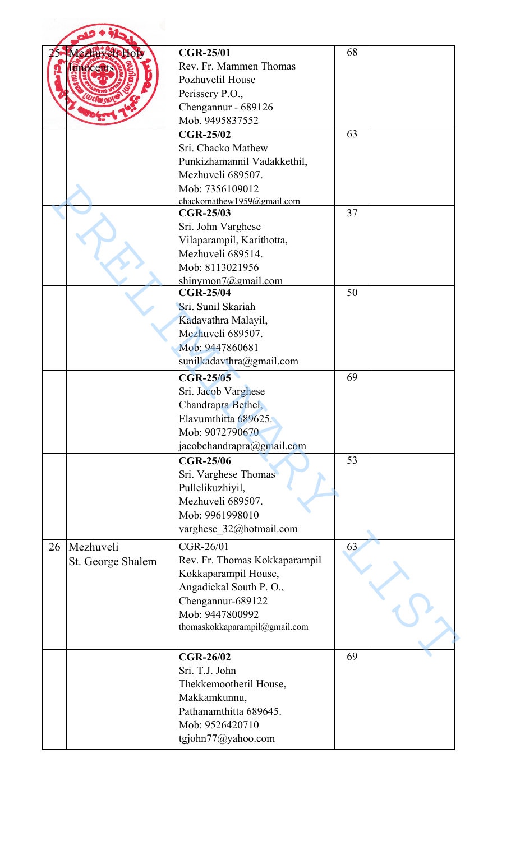|    | Mezhuveli Holy<br><b>Enocent</b> | <b>CGR-25/01</b><br>Rev. Fr. Mammen Thomas<br>Pozhuvelil House<br>Perissery P.O.,<br>Chengannur - 689126                                                              | 68 |  |
|----|----------------------------------|-----------------------------------------------------------------------------------------------------------------------------------------------------------------------|----|--|
|    |                                  | Mob. 9495837552<br><b>CGR-25/02</b><br>Sri. Chacko Mathew                                                                                                             | 63 |  |
|    |                                  | Punkizhamannil Vadakkethil,<br>Mezhuveli 689507.<br>Mob: 7356109012<br>chackomathew1959@gmail.com                                                                     |    |  |
|    |                                  | <b>CGR-25/03</b><br>Sri. John Varghese<br>Vilaparampil, Karithotta,<br>Mezhuveli 689514.                                                                              | 37 |  |
|    |                                  | Mob: 8113021956<br>shinymon $7@g$ mail.com<br><b>CGR-25/04</b><br>Sri. Sunil Skariah                                                                                  | 50 |  |
|    |                                  | Kadavathra Malayil,<br>Mezhuveli 689507.<br>Mob: 9447860681<br>sunilkadavthra@gmail.com                                                                               |    |  |
|    |                                  | <b>CGR-25/05</b><br>Sri. Jacob Varghese<br>Chandrapra Bethel,<br>Elavumthitta 689625.<br>Mob: 9072790670<br>jacobchandrapra@gmail.com                                 | 69 |  |
|    |                                  | <b>CGR-25/06</b><br>Sri. Varghese Thomas<br>Pullelikuzhiyil,<br>Mezhuveli 689507.<br>Mob: 9961998010<br>varghese_32@hotmail.com                                       | 53 |  |
| 26 | Mezhuveli<br>St. George Shalem   | CGR-26/01<br>Rev. Fr. Thomas Kokkaparampil<br>Kokkaparampil House,<br>Angadickal South P.O.,<br>Chengannur-689122<br>Mob: 9447800992<br>thomaskokkaparampil@gmail.com | 63 |  |
|    |                                  | <b>CGR-26/02</b><br>Sri. T.J. John<br>Thekkemootheril House,<br>Makkamkunnu,<br>Pathanamthitta 689645.<br>Mob: 9526420710<br>tgjohn77@yahoo.com                       | 69 |  |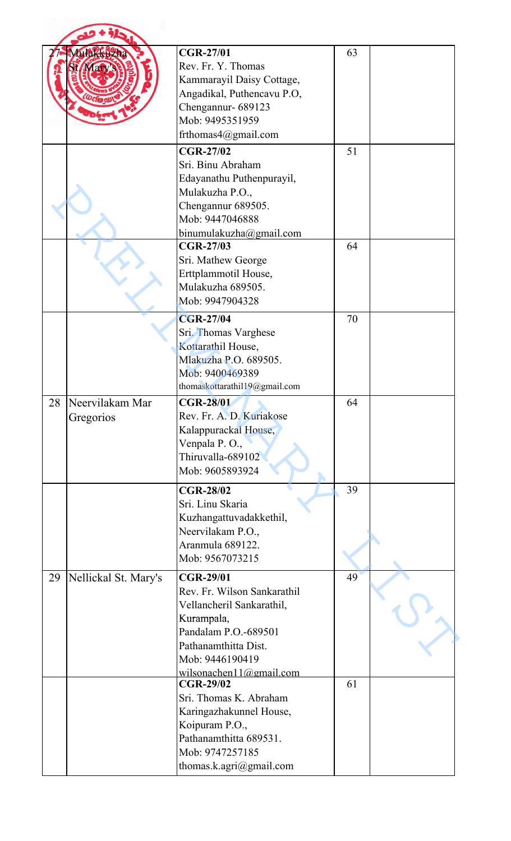|    | <b>Luakkuzha</b>     | <b>CGR-27/01</b>                            | 63 |  |
|----|----------------------|---------------------------------------------|----|--|
|    |                      | Rev. Fr. Y. Thomas                          |    |  |
|    |                      | Kammarayil Daisy Cottage,                   |    |  |
|    |                      | Angadikal, Puthencavu P.O,                  |    |  |
|    |                      | Chengannur- 689123                          |    |  |
|    |                      | Mob: 9495351959                             |    |  |
|    |                      | frthomas4@gmail.com                         |    |  |
|    |                      | <b>CGR-27/02</b>                            | 51 |  |
|    |                      | Sri. Binu Abraham                           |    |  |
|    |                      | Edayanathu Puthenpurayil,                   |    |  |
|    |                      | Mulakuzha P.O.,                             |    |  |
|    |                      | Chengannur 689505.                          |    |  |
|    |                      | Mob: 9447046888                             |    |  |
|    |                      | binumulakuzha@gmail.com                     |    |  |
|    |                      | <b>CGR-27/03</b>                            | 64 |  |
|    |                      | Sri. Mathew George                          |    |  |
|    |                      | Erttplammotil House,                        |    |  |
|    |                      | Mulakuzha 689505.                           |    |  |
|    |                      | Mob: 9947904328                             |    |  |
|    |                      | <b>CGR-27/04</b>                            | 70 |  |
|    |                      | Sri. Thomas Varghese                        |    |  |
|    |                      | Kottarathil House,                          |    |  |
|    |                      | Mlakuzha P.O. 689505.                       |    |  |
|    |                      | Mob: 9400469389                             |    |  |
|    |                      | thomaskottarathil19@gmail.com               |    |  |
| 28 | Neervilakam Mar      | <b>CGR-28/01</b>                            | 64 |  |
|    | Gregorios            | Rev. Fr. A. D. Kuriakose                    |    |  |
|    |                      | Kalappurackal House,                        |    |  |
|    |                      |                                             |    |  |
|    |                      | Venpala P.O.,                               |    |  |
|    |                      | Thiruvalla-689102                           |    |  |
|    |                      | Mob: 9605893924                             |    |  |
|    |                      | <b>CGR-28/02</b>                            | 39 |  |
|    |                      | Sri. Linu Skaria                            |    |  |
|    |                      |                                             |    |  |
|    |                      | Kuzhangattuvadakkethil,                     |    |  |
|    |                      | Neervilakam P.O.,<br>Aranmula 689122.       |    |  |
|    |                      | Mob: 9567073215                             |    |  |
|    |                      |                                             |    |  |
|    | Nellickal St. Mary's | <b>CGR-29/01</b>                            | 49 |  |
|    |                      | Rev. Fr. Wilson Sankarathil                 |    |  |
|    |                      | Vellancheril Sankarathil,                   |    |  |
| 29 |                      | Kurampala,                                  |    |  |
|    |                      | Pandalam P.O.-689501                        |    |  |
|    |                      | Pathanamthitta Dist.                        |    |  |
|    |                      | Mob: 9446190419                             |    |  |
|    |                      | wilsonachen11@gmail.com<br><b>CGR-29/02</b> | 61 |  |
|    |                      |                                             |    |  |
|    |                      | Sri. Thomas K. Abraham                      |    |  |
|    |                      | Karingazhakunnel House,                     |    |  |
|    |                      | Koipuram P.O.,<br>Pathanamthitta 689531.    |    |  |
|    |                      | Mob: 9747257185                             |    |  |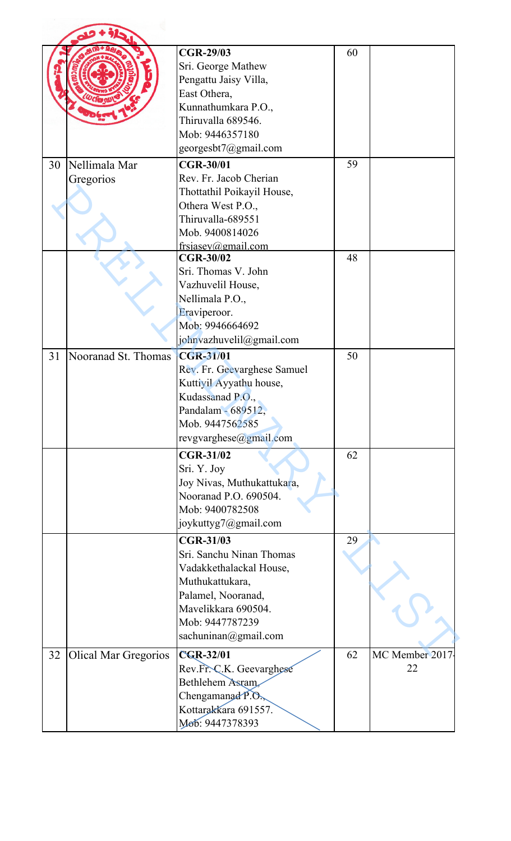|    |                             | <b>CGR-29/03</b>                          | 60 |                |
|----|-----------------------------|-------------------------------------------|----|----------------|
|    |                             | Sri. George Mathew                        |    |                |
|    |                             | Pengattu Jaisy Villa,                     |    |                |
|    |                             | East Othera,                              |    |                |
|    |                             | Kunnathumkara P.O.,                       |    |                |
|    |                             | Thiruvalla 689546.                        |    |                |
|    |                             | Mob: 9446357180                           |    |                |
|    |                             | georgesbt7@gmail.com                      |    |                |
| 30 | Nellimala Mar               | <b>CGR-30/01</b>                          | 59 |                |
|    | Gregorios                   | Rev. Fr. Jacob Cherian                    |    |                |
|    |                             | Thottathil Poikayil House,                |    |                |
|    |                             | Othera West P.O.,                         |    |                |
|    |                             | Thiruvalla-689551                         |    |                |
|    |                             | Mob. 9400814026                           |    |                |
|    |                             | frsjasey@gmail.com                        |    |                |
|    |                             | <b>CGR-30/02</b>                          | 48 |                |
|    |                             | Sri. Thomas V. John                       |    |                |
|    |                             | Vazhuvelil House,                         |    |                |
|    |                             | Nellimala P.O.,                           |    |                |
|    |                             | Eraviperoor.                              |    |                |
|    |                             | Mob: 9946664692                           |    |                |
|    |                             | johnvazhuvelil@gmail.com                  |    |                |
| 31 | Nooranad St. Thomas         | <b>CGR-31/01</b>                          | 50 |                |
|    |                             | Rev. Fr. Geevarghese Samuel               |    |                |
|    |                             | Kuttiyil Ayyathu house,                   |    |                |
|    |                             | Kudassanad P.O.,                          |    |                |
|    |                             | Pandalam - 689512,                        |    |                |
|    |                             | Mob. 9447562585                           |    |                |
|    |                             | revgvarghese@gmail.com                    |    |                |
|    |                             | <b>CGR-31/02</b>                          | 62 |                |
|    |                             | Sri. Y. Joy                               |    |                |
|    |                             | Joy Nivas, Muthukattukara,                |    |                |
|    |                             | Nooranad P.O. 690504.                     |    |                |
|    |                             | Mob: 9400782508                           |    |                |
|    |                             | joykuttyg7@gmail.com                      |    |                |
|    |                             | <b>CGR-31/03</b>                          | 29 |                |
|    |                             | Sri. Sanchu Ninan Thomas                  |    |                |
|    |                             | Vadakkethalackal House,                   |    |                |
|    |                             | Muthukattukara,                           |    |                |
|    |                             | Palamel, Nooranad,                        |    |                |
|    |                             | Mavelikkara 690504.                       |    |                |
|    |                             | Mob: 9447787239                           |    |                |
|    |                             | sachuninan@gmail.com                      |    |                |
|    |                             |                                           | 62 | MC Member 2017 |
| 32 | <b>Olical Mar Gregorios</b> | CGR-32/01<br>Rev.Fr. C.K. Geevarghese     |    | 22             |
|    |                             | Bethlehem Asram,                          |    |                |
|    |                             |                                           |    |                |
|    |                             | Chengamanad P.O.,<br>Kottarakkara 691557. |    |                |
|    |                             | Моб: 9447378393                           |    |                |
|    |                             |                                           |    |                |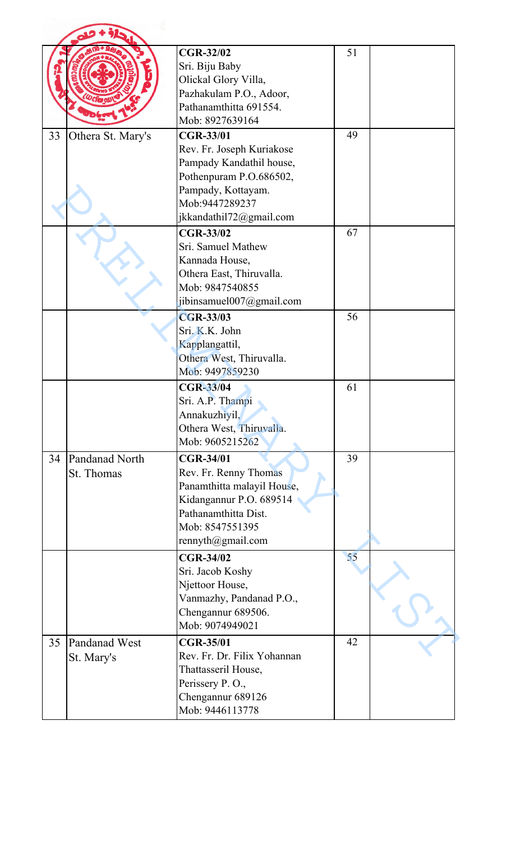|    |                              | <b>CGR-32/02</b><br>Sri. Biju Baby<br>Olickal Glory Villa,<br>Pazhakulam P.O., Adoor,<br>Pathanamthitta 691554.<br>Mob: 8927639164                                      | 51 |  |
|----|------------------------------|-------------------------------------------------------------------------------------------------------------------------------------------------------------------------|----|--|
| 33 | Othera St. Mary's            | <b>CGR-33/01</b><br>Rev. Fr. Joseph Kuriakose<br>Pampady Kandathil house,<br>Pothenpuram P.O.686502,<br>Pampady, Kottayam.<br>Mob:9447289237<br>jkkandathil72@gmail.com | 49 |  |
|    |                              | <b>CGR-33/02</b><br>Sri. Samuel Mathew<br>Kannada House,<br>Othera East, Thiruvalla.<br>Mob: 9847540855<br>jibinsamuel007@gmail.com                                     | 67 |  |
|    |                              | <b>CGR-33/03</b><br>Sri. K.K. John<br>Kapplangattil,<br>Othera West, Thiruvalla.<br>Mob: 9497859230                                                                     | 56 |  |
|    |                              | <b>CGR-33/04</b><br>Sri. A.P. Thampi<br>Annakuzhiyil,<br>Othera West, Thiruvalla.<br>Mob: 9605215262                                                                    | 61 |  |
| 34 | Pandanad North<br>St. Thomas | <b>CGR-34/01</b><br>Rev. Fr. Renny Thomas<br>Panamthitta malayil House,<br>Kidangannur P.O. 689514<br>Pathanamthitta Dist.<br>Mob: 8547551395<br>rennyth@gmail.com      | 39 |  |
|    |                              | <b>CGR-34/02</b><br>Sri. Jacob Koshy<br>Njettoor House,<br>Vanmazhy, Pandanad P.O.,<br>Chengannur 689506.<br>Mob: 9074949021                                            | 55 |  |
| 35 | Pandanad West<br>St. Mary's  | <b>CGR-35/01</b><br>Rev. Fr. Dr. Filix Yohannan<br>Thattasseril House,<br>Perissery P.O.,<br>Chengannur 689126<br>Mob: 9446113778                                       | 42 |  |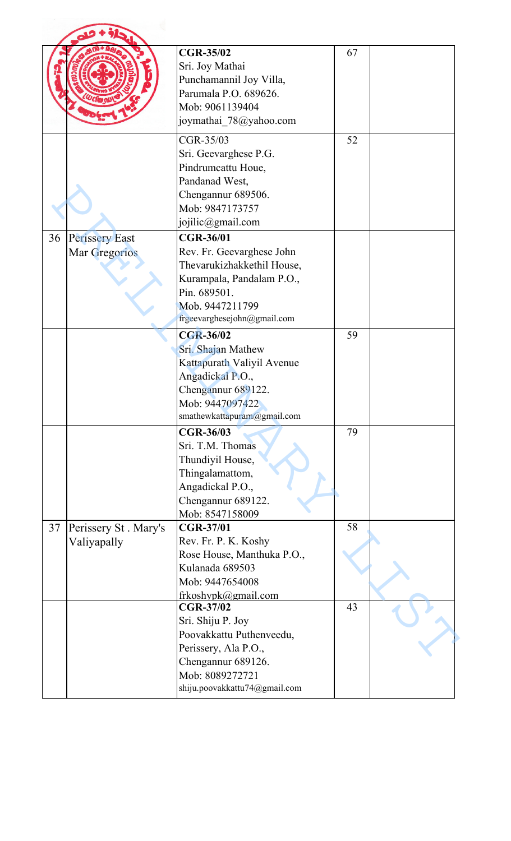|    |                                               | <b>CGR-35/02</b><br>Sri. Joy Mathai<br>Punchamannil Joy Villa,<br>Parumala P.O. 689626.<br>Mob: 9061139404<br>joymathai_78@yahoo.com                                       | 67 |  |
|----|-----------------------------------------------|----------------------------------------------------------------------------------------------------------------------------------------------------------------------------|----|--|
|    |                                               | CGR-35/03<br>Sri. Geevarghese P.G.<br>Pindrumcattu Houe,<br>Pandanad West,<br>Chengannur 689506.<br>Mob: 9847173757<br>jojilic@gmail.com                                   | 52 |  |
| 36 | <b>Perissery East</b><br><b>Mar Gregorios</b> | <b>CGR-36/01</b><br>Rev. Fr. Geevarghese John<br>Thevarukizhakkethil House,<br>Kurampala, Pandalam P.O.,<br>Pin. 689501.<br>Mob. 9447211799<br>frgeevarghesejohn@gmail.com |    |  |
|    |                                               | <b>CGR-36/02</b><br>Sri. Shajan Mathew<br>Kattapurath Valiyil Avenue<br>Angadickal P.O.,<br>Chengannur 689122.<br>Mob: 9447097422<br>smathewkattapuram@gmail.com           | 59 |  |
|    |                                               | <b>CGR-36/03</b><br>Sri. T.M. Thomas<br>Thundiyil House,<br>Thingalamattom,<br>Angadickal P.O.,<br>Chengannur 689122.<br>Mob: 8547158009                                   | 79 |  |
| 37 | Perissery St. Mary's<br>Valiyapally           | <b>CGR-37/01</b><br>Rev. Fr. P. K. Koshy<br>Rose House, Manthuka P.O.,<br>Kulanada 689503<br>Mob: 9447654008<br>frkoshypk@gmail.com                                        | 58 |  |
|    |                                               | <b>CGR-37/02</b><br>Sri. Shiju P. Joy<br>Poovakkattu Puthenveedu,<br>Perissery, Ala P.O.,<br>Chengannur 689126.<br>Mob: 8089272721<br>shiju.poovakkattu74@gmail.com        | 43 |  |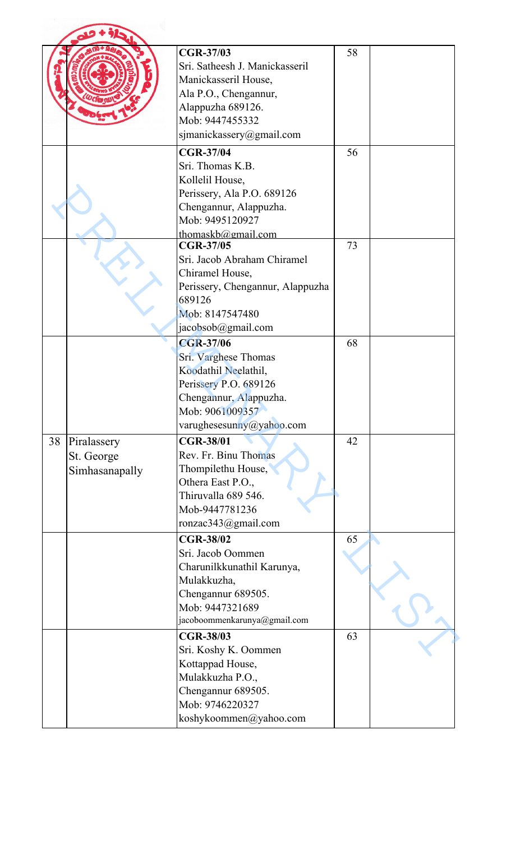|                                                   | <b>CGR-37/03</b><br>Sri. Satheesh J. Manickasseril<br>Manickasseril House,<br>Ala P.O., Chengannur,<br>Alappuzha 689126.<br>Mob: 9447455332<br>sjmanickassery@gmail.com | 58 |  |
|---------------------------------------------------|-------------------------------------------------------------------------------------------------------------------------------------------------------------------------|----|--|
|                                                   | <b>CGR-37/04</b><br>Sri. Thomas K.B.<br>Kollelil House,<br>Perissery, Ala P.O. 689126<br>Chengannur, Alappuzha.<br>Mob: 9495120927<br>thomaskb@gmail.com                | 56 |  |
|                                                   | <b>CGR-37/05</b><br>Sri. Jacob Abraham Chiramel<br>Chiramel House,<br>Perissery, Chengannur, Alappuzha<br>689126<br>Mob: 8147547480<br>jacobsob@gmail.com               | 73 |  |
|                                                   | <b>CGR-37/06</b><br>Sri. Varghese Thomas<br>Koodathil Neelathil,<br>Perissery P.O. 689126<br>Chengannur, Alappuzha.<br>Mob: 9061009357<br>varughesesunny@yahoo.com      | 68 |  |
| 38<br>Piralassery<br>St. George<br>Simhasanapally | <b>CGR-38/01</b><br>Rev. Fr. Binu Thomas<br>Thompilethu House,<br>Othera East P.O.,<br>Thiruvalla 689 546.<br>Mob-9447781236<br>ronzac343@gmail.com                     | 42 |  |
|                                                   | <b>CGR-38/02</b><br>Sri. Jacob Oommen<br>Charunilkkunathil Karunya,<br>Mulakkuzha,<br>Chengannur 689505.<br>Mob: 9447321689<br>jacoboommenkarunya@gmail.com             | 65 |  |
|                                                   | <b>CGR-38/03</b><br>Sri. Koshy K. Oommen<br>Kottappad House,<br>Mulakkuzha P.O.,<br>Chengannur 689505.<br>Mob: 9746220327<br>koshykoommen@yahoo.com                     | 63 |  |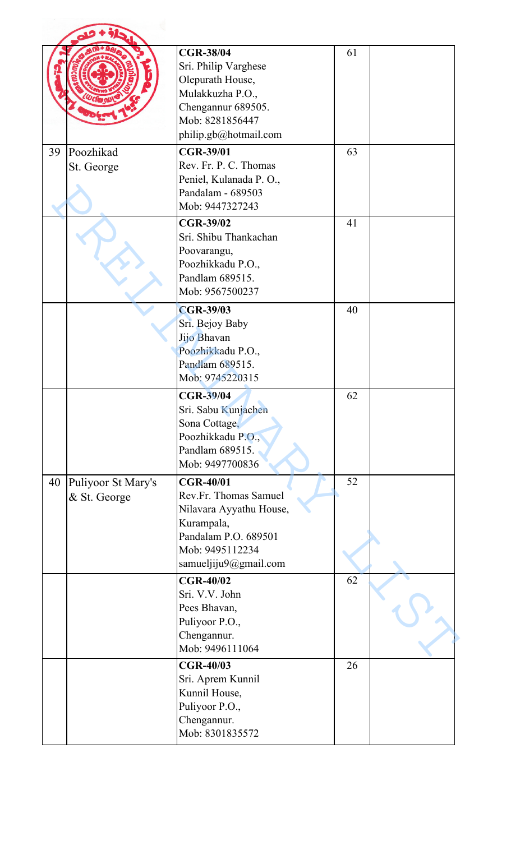|    |                                    | <b>CGR-38/04</b><br>Sri. Philip Varghese<br>Olepurath House,<br>Mulakkuzha P.O.,<br>Chengannur 689505.<br>Mob: 8281856447<br>philip.gb@hotmail.com     | 61 |  |
|----|------------------------------------|--------------------------------------------------------------------------------------------------------------------------------------------------------|----|--|
| 39 | Poozhikad<br>St. George            | <b>CGR-39/01</b><br>Rev. Fr. P. C. Thomas<br>Peniel, Kulanada P. O.,<br>Pandalam - 689503<br>Mob: 9447327243                                           | 63 |  |
|    |                                    | <b>CGR-39/02</b><br>Sri. Shibu Thankachan<br>Poovarangu,<br>Poozhikkadu P.O.,<br>Pandlam 689515.<br>Mob: 9567500237                                    | 41 |  |
|    |                                    | <b>CGR-39/03</b><br>Sri. Bejoy Baby<br>Jijo Bhavan<br>Poozhikkadu P.O.,<br>Pandlam 689515.<br>Mob: 9745220315                                          | 40 |  |
|    |                                    | <b>CGR-39/04</b><br>Sri. Sabu Kunjachen<br>Sona Cottage,<br>Poozhikkadu P.O.,<br>Pandlam 689515.<br>Mob: 9497700836                                    | 62 |  |
| 40 | Puliyoor St Mary's<br>& St. George | <b>CGR-40/01</b><br>Rev.Fr. Thomas Samuel<br>Nilavara Ayyathu House,<br>Kurampala,<br>Pandalam P.O. 689501<br>Mob: 9495112234<br>samueljiju9@gmail.com | 52 |  |
|    |                                    | <b>CGR-40/02</b><br>Sri. V.V. John<br>Pees Bhavan,<br>Puliyoor P.O.,<br>Chengannur.<br>Mob: 9496111064                                                 | 62 |  |
|    |                                    | <b>CGR-40/03</b><br>Sri. Aprem Kunnil<br>Kunnil House,<br>Puliyoor P.O.,<br>Chengannur.<br>Mob: 8301835572                                             | 26 |  |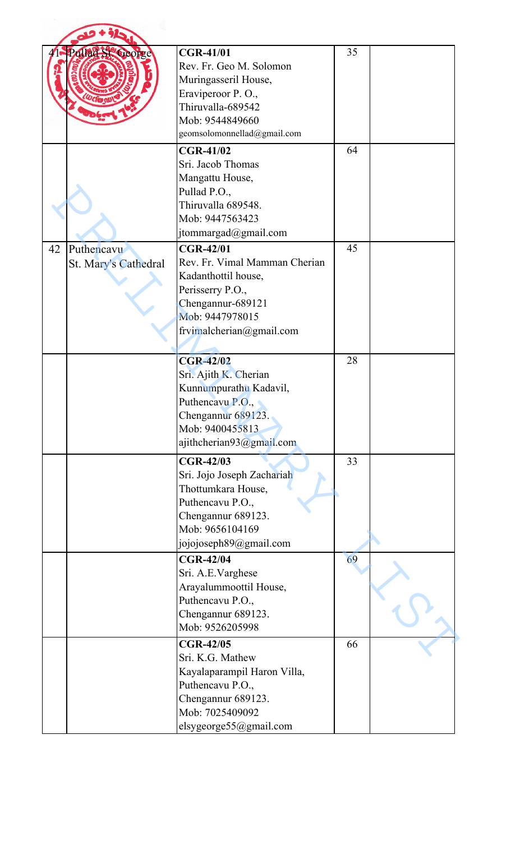|    | Pollad St. George                  | <b>CGR-41/01</b><br>Rev. Fr. Geo M. Solomon<br>Muringasseril House,<br>Eraviperoor P.O.,<br>Thiruvalla-689542<br>Mob: 9544849660<br>geomsolomonnellad@gmail.com  | 35 |  |
|----|------------------------------------|------------------------------------------------------------------------------------------------------------------------------------------------------------------|----|--|
|    |                                    | <b>CGR-41/02</b><br>Sri. Jacob Thomas<br>Mangattu House,<br>Pullad P.O.,<br>Thiruvalla 689548.<br>Mob: 9447563423<br>jtommargad@gmail.com                        | 64 |  |
| 42 | Puthencavu<br>St. Mary's Cathedral | <b>CGR-42/01</b><br>Rev. Fr. Vimal Mamman Cherian<br>Kadanthottil house,<br>Perisserry P.O.,<br>Chengannur-689121<br>Mob: 9447978015<br>frvimalcherian@gmail.com | 45 |  |
|    |                                    | <b>CGR-42/02</b><br>Sri. Ajith K. Cherian<br>Kunnumpurathu Kadavil,<br>Puthencavu P.O.,<br>Chengannur 689123.<br>Mob: 9400455813<br>ajithcherian93@gmail.com     | 28 |  |
|    |                                    | <b>CGR-42/03</b><br>Sri. Jojo Joseph Zachariah<br>Thottumkara House,<br>Puthencavu P.O.,<br>Chengannur 689123.<br>Mob: 9656104169<br>jojojoseph89@gmail.com      | 33 |  |
|    |                                    | <b>CGR-42/04</b><br>Sri. A.E.Varghese<br>Arayalummoottil House,<br>Puthencavu P.O.,<br>Chengannur 689123.<br>Mob: 9526205998                                     | 69 |  |
|    |                                    | <b>CGR-42/05</b><br>Sri. K.G. Mathew<br>Kayalaparampil Haron Villa,<br>Puthencavu P.O.,<br>Chengannur 689123.<br>Mob: 7025409092<br>elsygeorge55@gmail.com       | 66 |  |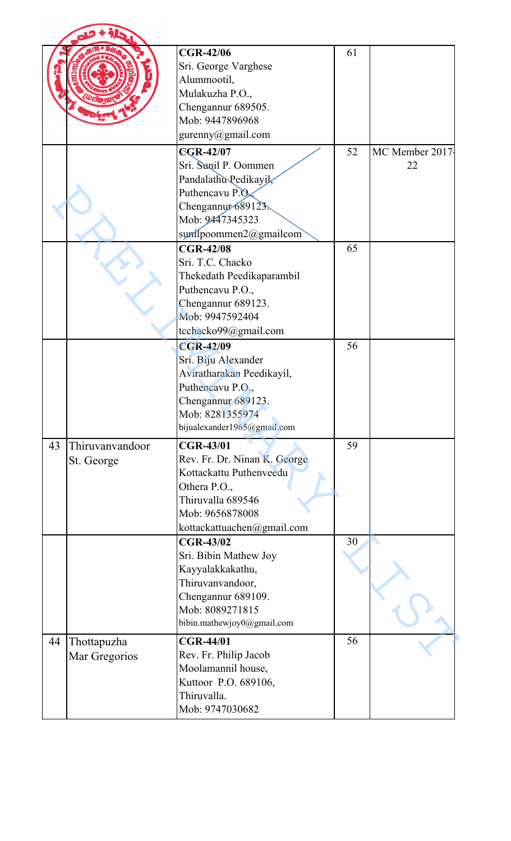|    |                               | <b>CGR-42/06</b><br>Sri. George Varghese<br>Alummootil,<br>Mulakuzha P.O.,<br>Chengannur 689505.<br>Mob: 9447896968<br>gurenny@gmail.com                          | 61 |                       |
|----|-------------------------------|-------------------------------------------------------------------------------------------------------------------------------------------------------------------|----|-----------------------|
|    |                               | <b>CGR-42/07</b><br>Sri. Sunil P. Oommen<br>Pandalathu Pedikayil,<br>Puthencavu P.O.<br>Chengannur 689123.<br>Mob: 9447345323<br>surilpoommen2@gmailcom           | 52 | MC Member 2017-<br>22 |
|    |                               | <b>CGR-42/08</b><br>Sri. T.C. Chacko<br>Thekedath Peedikaparambil<br>Puthencavu P.O.,<br>Chengannur 689123.<br>Mob: 9947592404<br>tcchacko99@gmail.com            | 65 |                       |
|    |                               | <b>CGR-42/09</b><br>Sri. Biju Alexander<br>Aviratharakan Peedikayil,<br>Puthencavu P.O.,<br>Chengannur 689123.<br>Mob: 8281355974<br>bijualexander1965@gmail.com  | 56 |                       |
| 43 | Thiruvanvandoor<br>St. George | <b>CGR-43/01</b><br>Rev. Fr. Dr. Ninan K. George<br>Kottackattu Puthenveedu<br>Othera P.O.,<br>Thiruvalla 689546<br>Mob: 9656878008<br>kottackattuachen@gmail.com | 59 |                       |
|    |                               | <b>CGR-43/02</b><br>Sri. Bibin Mathew Joy<br>Kayyalakkakathu,<br>Thiruvanvandoor,<br>Chengannur 689109.<br>Mob: 8089271815<br>bibin.mathewjoy0@gmail.com          | 30 |                       |
| 44 | Thottapuzha<br>Mar Gregorios  | <b>CGR-44/01</b><br>Rev. Fr. Philip Jacob<br>Moolamannil house,<br>Kuttoor P.O. 689106,<br>Thiruvalla.<br>Mob: 9747030682                                         | 56 |                       |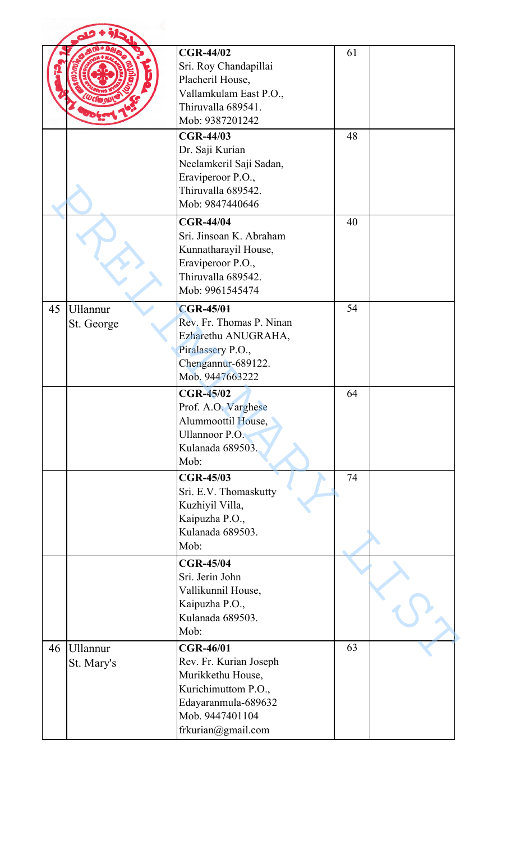|    |                               | <b>CGR-44/02</b><br>Sri. Roy Chandapillai<br>Placheril House,<br>Vallamkulam East P.O.,<br>Thiruvalla 689541.<br>Mob: 9387201242                       | 61 |  |
|----|-------------------------------|--------------------------------------------------------------------------------------------------------------------------------------------------------|----|--|
|    |                               | <b>CGR-44/03</b><br>Dr. Saji Kurian<br>Neelamkeril Saji Sadan,<br>Eraviperoor P.O.,<br>Thiruvalla 689542.<br>Mob: 9847440646                           | 48 |  |
|    |                               | <b>CGR-44/04</b><br>Sri. Jinsoan K. Abraham<br>Kunnatharayil House,<br>Eraviperoor P.O.,<br>Thiruvalla 689542.<br>Mob: 9961545474                      | 40 |  |
| 45 | <b>Ullannur</b><br>St. George | <b>CGR-45/01</b><br>Rev. Fr. Thomas P. Ninan<br>Ezharethu ANUGRAHA,<br>Piralassery P.O.,<br>Chengannur-689122.<br>Mob. 9447663222                      | 54 |  |
|    |                               | <b>CGR-45/02</b><br>Prof. A.O. Varghese<br>Alummoottil House,<br><b>Ullannoor P.O.</b><br>Kulanada 689503.<br>Mob:                                     | 64 |  |
|    |                               | <b>CGR-45/03</b><br>Sri. E.V. Thomaskutty<br>Kuzhiyil Villa,<br>Kaipuzha P.O.,<br>Kulanada 689503.<br>Mob:                                             | 74 |  |
|    |                               | <b>CGR-45/04</b><br>Sri. Jerin John<br>Vallikunnil House,<br>Kaipuzha P.O.,<br>Kulanada 689503.<br>Mob:                                                |    |  |
| 46 | <b>Ullannur</b><br>St. Mary's | <b>CGR-46/01</b><br>Rev. Fr. Kurian Joseph<br>Murikkethu House,<br>Kurichimuttom P.O.,<br>Edayaranmula-689632<br>Mob. 9447401104<br>frkurian@gmail.com | 63 |  |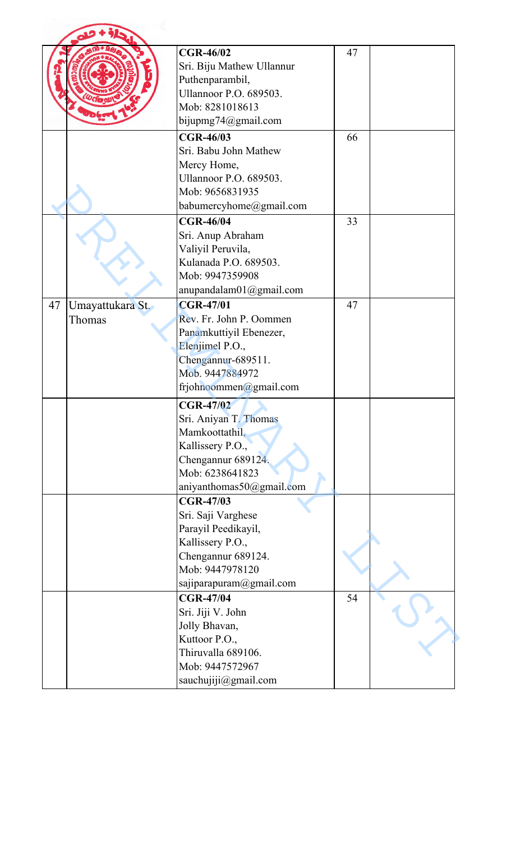|    |                  | <b>CGR-46/02</b><br>Sri. Biju Mathew Ullannur<br>Puthenparambil,<br><b>Ullannoor P.O. 689503.</b><br>Mob: 8281018613                                  | 47 |  |
|----|------------------|-------------------------------------------------------------------------------------------------------------------------------------------------------|----|--|
|    |                  | bijupmg74@gmail.com                                                                                                                                   |    |  |
|    |                  | <b>CGR-46/03</b><br>Sri. Babu John Mathew<br>Mercy Home,<br><b>Ullannoor P.O. 689503.</b><br>Mob: 9656831935<br>babumercyhome@gmail.com               | 66 |  |
|    |                  | <b>CGR-46/04</b><br>Sri. Anup Abraham<br>Valiyil Peruvila,<br>Kulanada P.O. 689503.<br>Mob: 9947359908<br>anupandalam01@gmail.com                     | 33 |  |
| 47 | Umayattukara St. | <b>CGR-47/01</b>                                                                                                                                      | 47 |  |
|    | Thomas           | Rev. Fr. John P. Oommen<br>Panamkuttiyil Ebenezer,<br>Elenjimel P.O.,<br>Chengannur-689511.<br>Mob. 9447884972<br>frjohnoommen@gmail.com              |    |  |
|    |                  | <b>CGR-47/02</b><br>Sri. Aniyan T. Thomas<br>Mamkoottathil,<br>Kallissery P.O.,<br>Chengannur 689124.<br>Mob: 6238641823<br>aniyanthomas50@gmail.com  |    |  |
|    |                  | <b>CGR-47/03</b><br>Sri. Saji Varghese<br>Parayil Peedikayil,<br>Kallissery P.O.,<br>Chengannur 689124.<br>Mob: 9447978120<br>sajiparapuram@gmail.com |    |  |
|    |                  | <b>CGR-47/04</b><br>Sri. Jiji V. John<br>Jolly Bhavan,<br>Kuttoor P.O.,<br>Thiruvalla 689106.<br>Mob: 9447572967<br>sauchujiji@gmail.com              | 54 |  |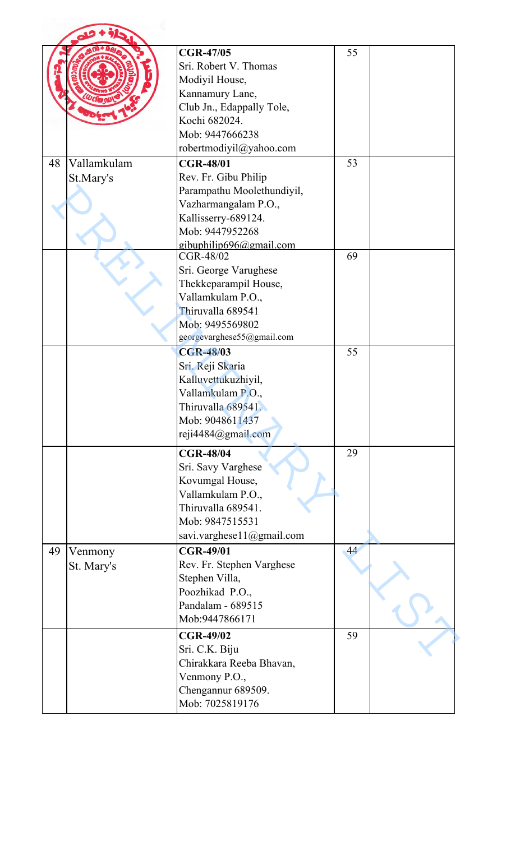|    |                          | <b>CGR-47/05</b><br>Sri. Robert V. Thomas<br>Modiyil House,<br>Kannamury Lane,<br>Club Jn., Edappally Tole,<br>Kochi 682024.<br>Mob: 9447666238<br>robertmodiyil@yahoo.com        | 55 |  |
|----|--------------------------|-----------------------------------------------------------------------------------------------------------------------------------------------------------------------------------|----|--|
| 48 | Vallamkulam<br>St.Mary's | <b>CGR-48/01</b><br>Rev. Fr. Gibu Philip<br>Parampathu Moolethundiyil,<br>Vazharmangalam P.O.,<br>Kallisserry-689124.<br>Mob: 9447952268                                          | 53 |  |
|    |                          | gibuphilip696@gmail.com<br>CGR-48/02<br>Sri. George Varughese<br>Thekkeparampil House,<br>Vallamkulam P.O.,<br>Thiruvalla 689541<br>Mob: 9495569802<br>georgevarghese55@gmail.com | 69 |  |
|    |                          | <b>CGR-48/03</b><br>Sri. Reji Skaria<br>Kalluvettukuzhiyil,<br>Vallamkulam P.O.,<br>Thiruvalla 689541.<br>Mob: 9048611437<br>reji4484@gmail.com                                   | 55 |  |
|    |                          | <b>CGR-48/04</b><br>Sri. Savy Varghese<br>Kovumgal House,<br>Vallamkulam P.O.,<br>Thiruvalla 689541.<br>Mob: 9847515531<br>savi.varghese11@gmail.com                              | 29 |  |
| 49 | Venmony<br>St. Mary's    | <b>CGR-49/01</b><br>Rev. Fr. Stephen Varghese<br>Stephen Villa,<br>Poozhikad P.O.,<br>Pandalam - 689515<br>Mob:9447866171                                                         | 44 |  |
|    |                          | <b>CGR-49/02</b><br>Sri. C.K. Biju<br>Chirakkara Reeba Bhavan,<br>Venmony P.O.,<br>Chengannur 689509.<br>Mob: 7025819176                                                          | 59 |  |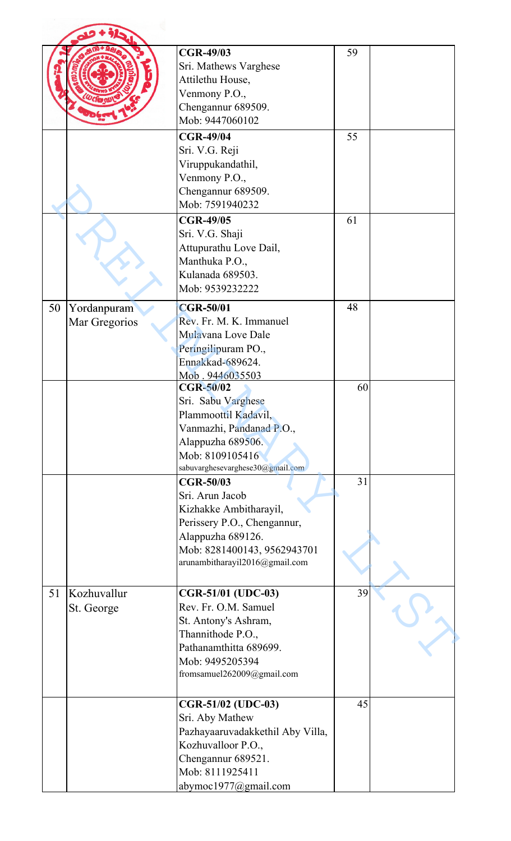|    |                              | <b>CGR-49/03</b><br>Sri. Mathews Varghese<br>Attilethu House,<br>Venmony P.O.,<br>Chengannur 689509.<br>Mob: 9447060102                                                            | 59 |  |
|----|------------------------------|------------------------------------------------------------------------------------------------------------------------------------------------------------------------------------|----|--|
|    |                              | <b>CGR-49/04</b><br>Sri. V.G. Reji<br>Viruppukandathil,<br>Venmony P.O.,<br>Chengannur 689509.<br>Mob: 7591940232                                                                  | 55 |  |
|    |                              | <b>CGR-49/05</b><br>Sri. V.G. Shaji<br>Attupurathu Love Dail,<br>Manthuka P.O.,<br>Kulanada 689503.<br>Mob: 9539232222                                                             | 61 |  |
| 50 | Yordanpuram<br>Mar Gregorios | <b>CGR-50/01</b><br>Rev. Fr. M. K. Immanuel<br>Mulavana Love Dale<br>Peringilipuram PO.,<br>Ennakkad-689624.<br>Mob. 9446035503                                                    | 48 |  |
|    |                              | <b>CGR-50/02</b><br>Sri. Sabu Varghese<br>Plammoottil Kadavil,<br>Vanmazhi, Pandanad P.O.,<br>Alappuzha 689506.<br>Mob: 8109105416<br>sabuvarghesevarghese30@gmail.com             | 60 |  |
|    |                              | <b>CGR-50/03</b><br>Sri. Arun Jacob<br>Kizhakke Ambitharayil,<br>Perissery P.O., Chengannur,<br>Alappuzha 689126.<br>Mob: 8281400143, 9562943701<br>arunambitharayil2016@gmail.com | 31 |  |
| 51 | Kozhuvallur<br>St. George    | CGR-51/01 (UDC-03)<br>Rev. Fr. O.M. Samuel<br>St. Antony's Ashram,<br>Thannithode P.O.,<br>Pathanamthitta 689699.<br>Mob: 9495205394<br>fromsamuel262009@gmail.com                 | 39 |  |
|    |                              | CGR-51/02 (UDC-03)<br>Sri. Aby Mathew<br>Pazhayaaruvadakkethil Aby Villa,<br>Kozhuvalloor P.O.,<br>Chengannur 689521.<br>Mob: 8111925411<br>abymoc1977@gmail.com                   | 45 |  |